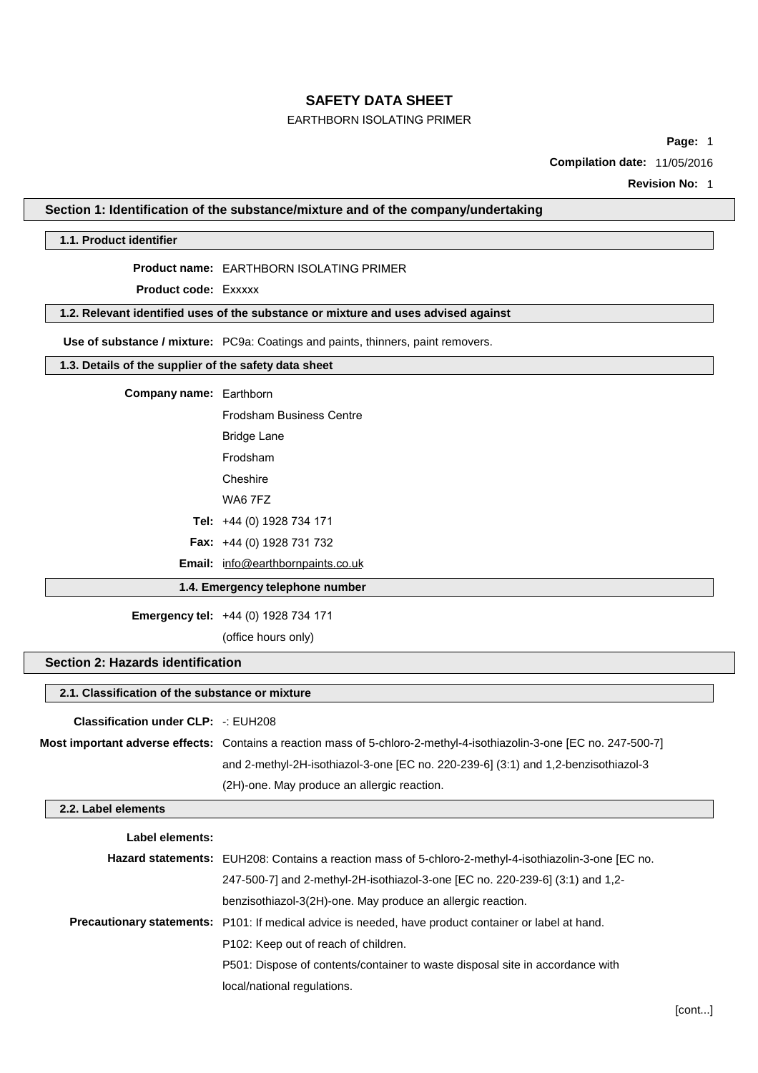# **SAFETY DATA SHEET**

## EARTHBORN ISOLATING PRIMER

**Page:** 1

**Compilation date:** 11/05/2016

**Revision No:** 1

### **Section 1: Identification of the substance/mixture and of the company/undertaking**

#### **1.1. Product identifier**

#### **Product name:** EARTHBORN ISOLATING PRIMER

**Product code:** Exxxxx

# **1.2. Relevant identified uses of the substance or mixture and uses advised against**

**Use of substance / mixture:** PC9a: Coatings and paints, thinners, paint removers.

## **1.3. Details of the supplier of the safety data sheet**

# **Company name:** Earthborn

| Frodsham Business Centre                 |
|------------------------------------------|
| Bridge Lane                              |
| Frodsham                                 |
| Cheshire                                 |
| WA6 7F7                                  |
| Tel: +44 (0) 1928 734 171                |
| <b>Fax:</b> $+44$ (0) 1928 731 732       |
| <b>Email:</b> info@earthbornpaints.co.uk |

## **1.4. Emergency telephone number**

**Emergency tel:** +44 (0) 1928 734 171

(office hours only)

## **Section 2: Hazards identification**

## **2.1. Classification of the substance or mixture**

#### **Classification under CLP:** -: EUH208

**Most important adverse effects:** Contains a reaction mass of 5-chloro-2-methyl-4-isothiazolin-3-one [EC no. 247-500-7] and 2-methyl-2H-isothiazol-3-one [EC no. 220-239-6] (3:1) and 1,2-benzisothiazol-3 (2H)-one. May produce an allergic reaction.

### **2.2. Label elements**

| Label elements: |                                                                                                              |
|-----------------|--------------------------------------------------------------------------------------------------------------|
|                 | Hazard statements: EUH208: Contains a reaction mass of 5-chloro-2-methyl-4-isothiazolin-3-one [EC no.        |
|                 | 247-500-7] and 2-methyl-2H-isothiazol-3-one [EC no. 220-239-6] (3:1) and 1,2-                                |
|                 | benzisothiazol-3(2H)-one. May produce an allergic reaction.                                                  |
|                 | <b>Precautionary statements:</b> P101: If medical advice is needed, have product container or label at hand. |
|                 | P <sub>102</sub> : Keep out of reach of children.                                                            |
|                 | P501: Dispose of contents/container to waste disposal site in accordance with                                |
|                 | local/national regulations.                                                                                  |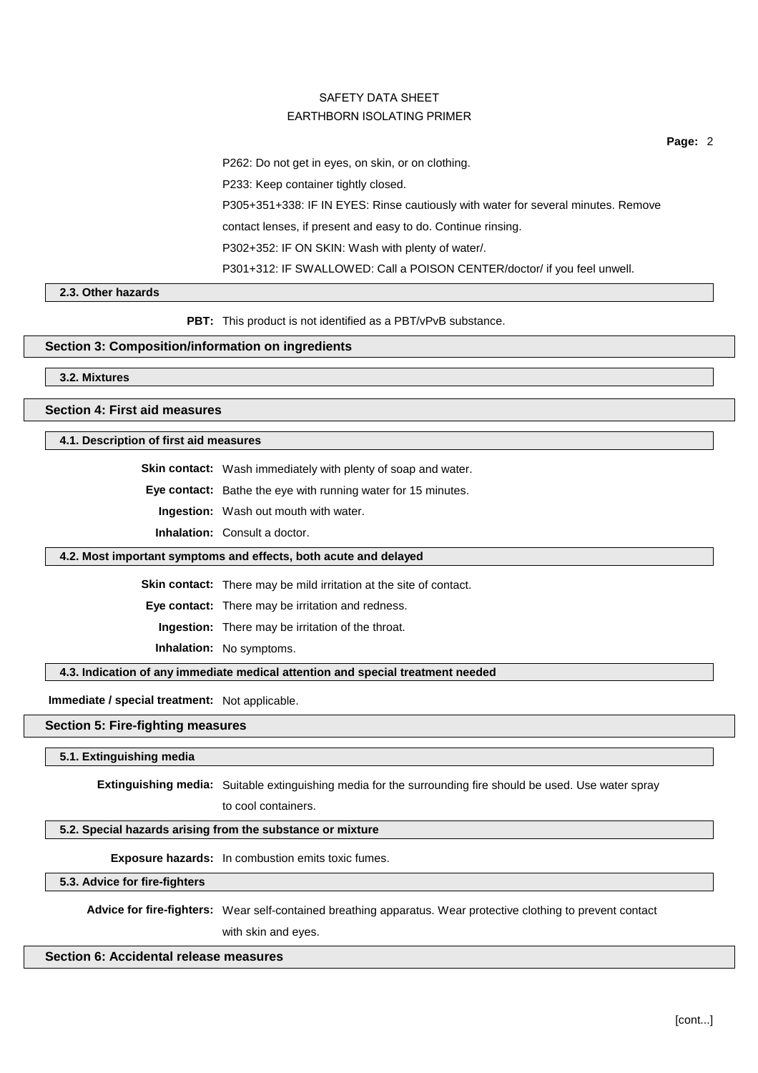**Page:** 2

P262: Do not get in eyes, on skin, or on clothing.

P233: Keep container tightly closed.

P305+351+338: IF IN EYES: Rinse cautiously with water for several minutes. Remove

contact lenses, if present and easy to do. Continue rinsing.

P302+352: IF ON SKIN: Wash with plenty of water/.

P301+312: IF SWALLOWED: Call a POISON CENTER/doctor/ if you feel unwell.

### **2.3. Other hazards**

**PBT:** This product is not identified as a PBT/vPvB substance.

## **Section 3: Composition/information on ingredients**

**3.2. Mixtures**

**Section 4: First aid measures**

**4.1. Description of first aid measures**

**Skin contact:** Wash immediately with plenty of soap and water.

**Eye contact:** Bathe the eye with running water for 15 minutes.

**Ingestion:** Wash out mouth with water.

**Inhalation:** Consult a doctor.

#### **4.2. Most important symptoms and effects, both acute and delayed**

**Skin contact:** There may be mild irritation at the site of contact.

**Eye contact:** There may be irritation and redness.

**Ingestion:** There may be irritation of the throat.

**Inhalation:** No symptoms.

**4.3. Indication of any immediate medical attention and special treatment needed**

**Immediate / special treatment:** Not applicable.

### **Section 5: Fire-fighting measures**

**5.1. Extinguishing media**

**Extinguishing media:** Suitable extinguishing media for the surrounding fire should be used. Use water spray

to cool containers.

## **5.2. Special hazards arising from the substance or mixture**

**Exposure hazards:** In combustion emits toxic fumes.

### **5.3. Advice for fire-fighters**

**Advice for fire-fighters:** Wear self-contained breathing apparatus. Wear protective clothing to prevent contact with skin and eyes.

# **Section 6: Accidental release measures**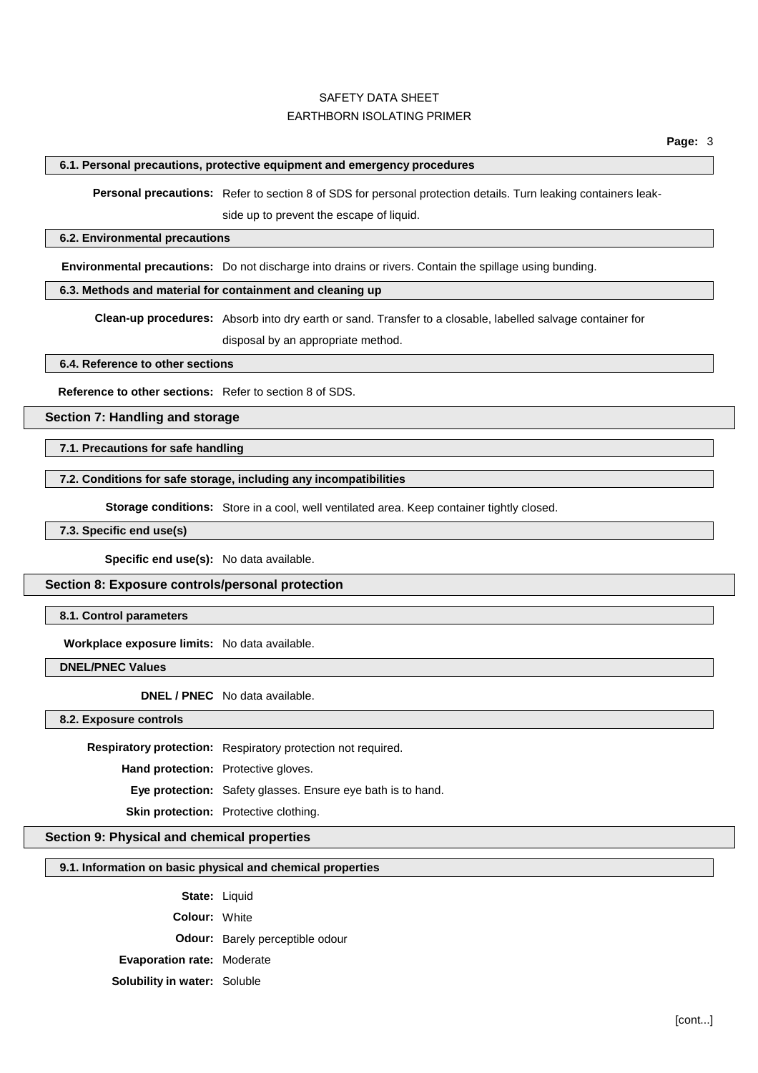### **6.1. Personal precautions, protective equipment and emergency procedures**

**Personal precautions:** Refer to section 8 of SDS for personal protection details. Turn leaking containers leakside up to prevent the escape of liquid.

#### **6.2. Environmental precautions**

**Environmental precautions:** Do not discharge into drains or rivers. Contain the spillage using bunding.

## **6.3. Methods and material for containment and cleaning up**

**Clean-up procedures:** Absorb into dry earth or sand. Transfer to a closable, labelled salvage container for disposal by an appropriate method.

**6.4. Reference to other sections**

**Reference to other sections:** Refer to section 8 of SDS.

**Section 7: Handling and storage**

**7.1. Precautions for safe handling**

## **7.2. Conditions for safe storage, including any incompatibilities**

**Storage conditions:** Store in a cool, well ventilated area. Keep container tightly closed.

**7.3. Specific end use(s)**

**Specific end use(s):** No data available.

#### **Section 8: Exposure controls/personal protection**

**8.1. Control parameters**

**Workplace exposure limits:** No data available.

**DNEL/PNEC Values**

**DNEL / PNEC** No data available.

**8.2. Exposure controls**

**Respiratory protection:** Respiratory protection not required.

**Hand protection:** Protective gloves.

**Eye protection:** Safety glasses. Ensure eye bath is to hand.

**Skin protection:** Protective clothing.

## **Section 9: Physical and chemical properties**

#### **9.1. Information on basic physical and chemical properties**

**State:** Liquid

**Colour:** White

**Odour:** Barely perceptible odour

**Evaporation rate:** Moderate

**Solubility in water:** Soluble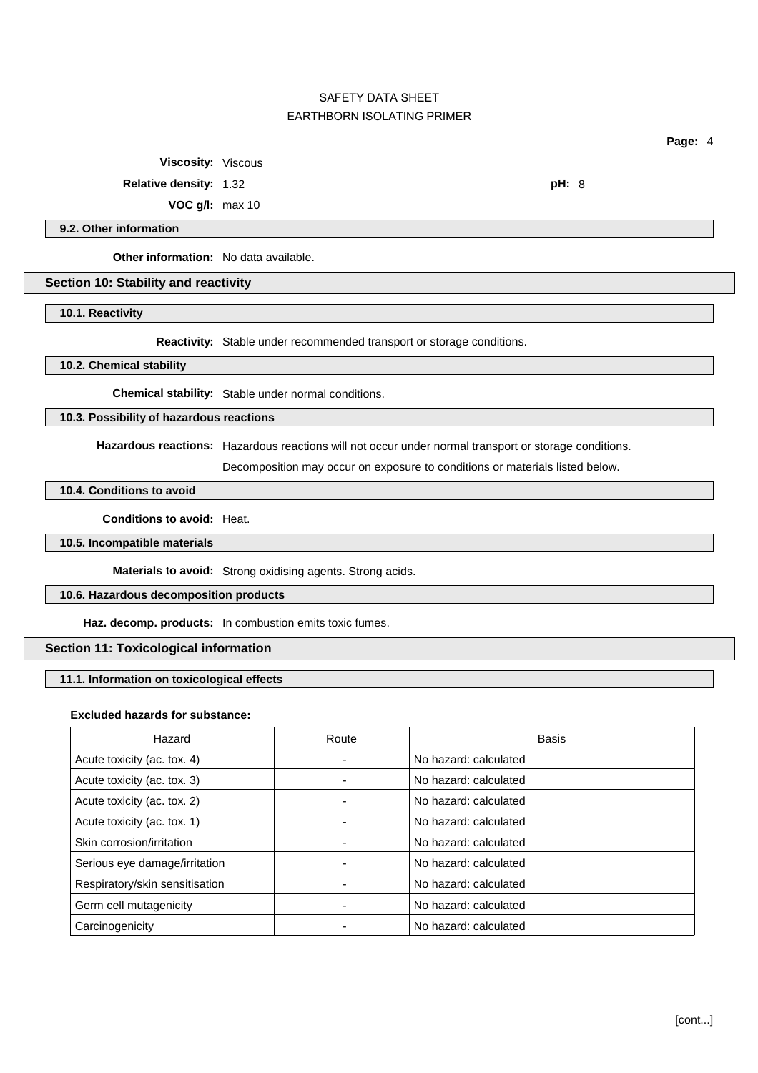**Viscosity:** Viscous

**Relative density:** 1.32 **pH:** 8

**VOC g/l:** max 10

#### **9.2. Other information**

**Other information:** No data available.

#### **Section 10: Stability and reactivity**

**10.1. Reactivity**

**Reactivity:** Stable under recommended transport or storage conditions.

**10.2. Chemical stability**

**Chemical stability:** Stable under normal conditions.

#### **10.3. Possibility of hazardous reactions**

**Hazardous reactions:** Hazardous reactions will not occur under normal transport or storage conditions.

Decomposition may occur on exposure to conditions or materials listed below.

## **10.4. Conditions to avoid**

**Conditions to avoid:** Heat.

**10.5. Incompatible materials**

**Materials to avoid:** Strong oxidising agents. Strong acids.

## **10.6. Hazardous decomposition products**

**Haz. decomp. products:** In combustion emits toxic fumes.

# **Section 11: Toxicological information**

## **11.1. Information on toxicological effects**

#### **Excluded hazards for substance:**

| Hazard                         | Route | Basis                 |
|--------------------------------|-------|-----------------------|
| Acute toxicity (ac. tox. 4)    | ۰     | No hazard: calculated |
| Acute toxicity (ac. tox. 3)    |       | No hazard: calculated |
| Acute toxicity (ac. tox. 2)    | -     | No hazard: calculated |
| Acute toxicity (ac. tox. 1)    |       | No hazard: calculated |
| Skin corrosion/irritation      |       | No hazard: calculated |
| Serious eye damage/irritation  |       | No hazard: calculated |
| Respiratory/skin sensitisation |       | No hazard: calculated |
| Germ cell mutagenicity         |       | No hazard: calculated |
| Carcinogenicity                |       | No hazard: calculated |

**Page:** 4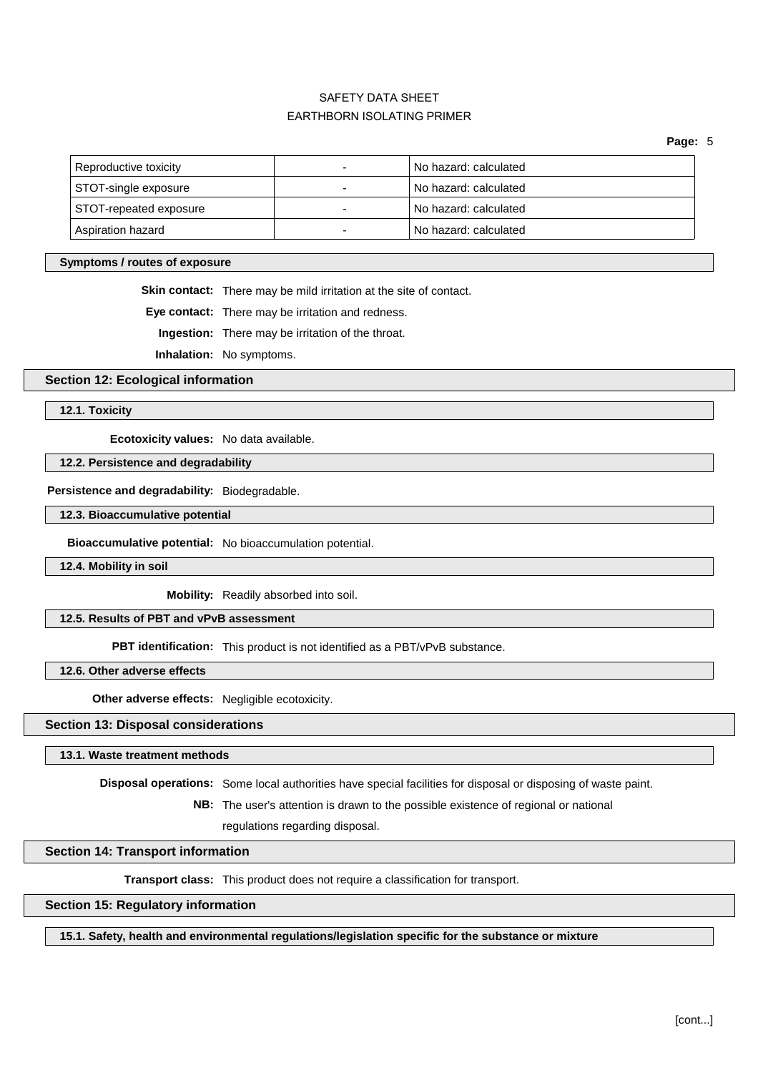**Page:** 5

| Reproductive toxicity          | No hazard: calculated |
|--------------------------------|-----------------------|
| STOT-single exposure           | No hazard: calculated |
| STOT-repeated exposure         | No hazard: calculated |
| <sup>'</sup> Aspiration hazard | No hazard: calculated |

### **Symptoms / routes of exposure**

**Skin contact:** There may be mild irritation at the site of contact.

**Eye contact:** There may be irritation and redness.

**Ingestion:** There may be irritation of the throat.

**Inhalation:** No symptoms.

### **Section 12: Ecological information**

**12.1. Toxicity**

**Ecotoxicity values:** No data available.

**12.2. Persistence and degradability**

**Persistence and degradability:** Biodegradable.

**12.3. Bioaccumulative potential**

**Bioaccumulative potential:** No bioaccumulation potential.

**12.4. Mobility in soil**

**Mobility:** Readily absorbed into soil.

## **12.5. Results of PBT and vPvB assessment**

**PBT identification:** This product is not identified as a PBT/vPvB substance.

**12.6. Other adverse effects**

**Other adverse effects:** Negligible ecotoxicity.

## **Section 13: Disposal considerations**

**13.1. Waste treatment methods**

**Disposal operations:** Some local authorities have special facilities for disposal or disposing of waste paint.

**NB:** The user's attention is drawn to the possible existence of regional or national

regulations regarding disposal.

## **Section 14: Transport information**

**Transport class:** This product does not require a classification for transport.

## **Section 15: Regulatory information**

**15.1. Safety, health and environmental regulations/legislation specific for the substance or mixture**